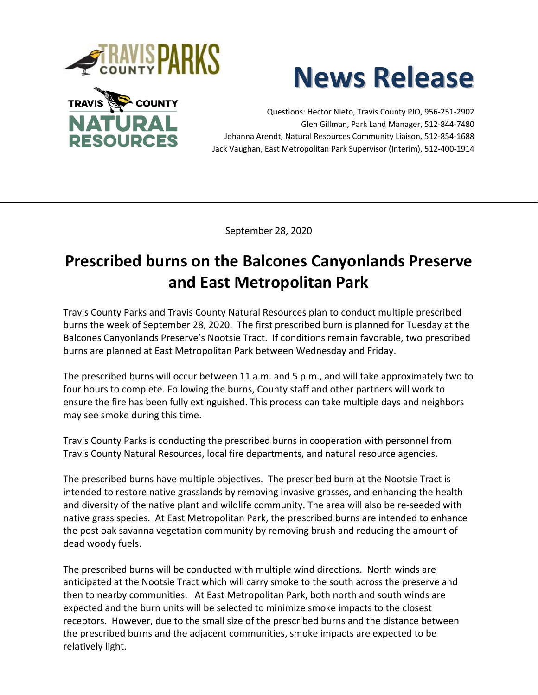





Questions: Hector Nieto, Travis County PIO, 956-251-2902 Glen Gillman, Park Land Manager, 512-844-7480 Johanna Arendt, Natural Resources Community Liaison, 512-854-1688 Jack Vaughan, East Metropolitan Park Supervisor (Interim), 512-400-1914

September 28, 2020

## **Prescribed burns on the Balcones Canyonlands Preserve and East Metropolitan Park**

Travis County Parks and Travis County Natural Resources plan to conduct multiple prescribed burns the week of September 28, 2020. The first prescribed burn is planned for Tuesday at the Balcones Canyonlands Preserve's Nootsie Tract. If conditions remain favorable, two prescribed burns are planned at East Metropolitan Park between Wednesday and Friday.

The prescribed burns will occur between 11 a.m. and 5 p.m., and will take approximately two to four hours to complete. Following the burns, County staff and other partners will work to ensure the fire has been fully extinguished. This process can take multiple days and neighbors may see smoke during this time.

Travis County Parks is conducting the prescribed burns in cooperation with personnel from Travis County Natural Resources, local fire departments, and natural resource agencies.

The prescribed burns have multiple objectives. The prescribed burn at the Nootsie Tract is intended to restore native grasslands by removing invasive grasses, and enhancing the health and diversity of the native plant and wildlife community. The area will also be re-seeded with native grass species. At East Metropolitan Park, the prescribed burns are intended to enhance the post oak savanna vegetation community by removing brush and reducing the amount of dead woody fuels.

The prescribed burns will be conducted with multiple wind directions. North winds are anticipated at the Nootsie Tract which will carry smoke to the south across the preserve and then to nearby communities. At East Metropolitan Park, both north and south winds are expected and the burn units will be selected to minimize smoke impacts to the closest receptors. However, due to the small size of the prescribed burns and the distance between the prescribed burns and the adjacent communities, smoke impacts are expected to be relatively light.